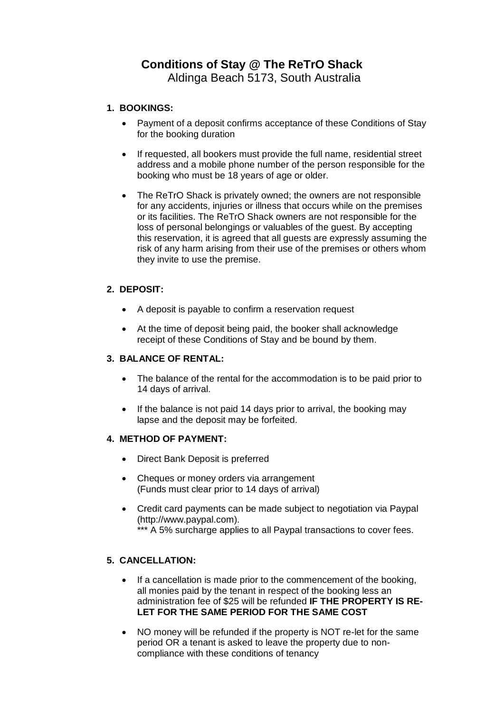# **Conditions of Stay @ The ReTrO Shack**

Aldinga Beach 5173, South Australia

## **1. BOOKINGS:**

- Payment of a deposit confirms acceptance of these Conditions of Stay for the booking duration
- If requested, all bookers must provide the full name, residential street address and a mobile phone number of the person responsible for the booking who must be 18 years of age or older.
- The ReTrO Shack is privately owned; the owners are not responsible for any accidents, injuries or illness that occurs while on the premises or its facilities. The ReTrO Shack owners are not responsible for the loss of personal belongings or valuables of the guest. By accepting this reservation, it is agreed that all guests are expressly assuming the risk of any harm arising from their use of the premises or others whom they invite to use the premise.

# **2. DEPOSIT:**

- A deposit is payable to confirm a reservation request
- At the time of deposit being paid, the booker shall acknowledge receipt of these Conditions of Stay and be bound by them.

## **3. BALANCE OF RENTAL:**

- The balance of the rental for the accommodation is to be paid prior to 14 days of arrival.
- If the balance is not paid 14 days prior to arrival, the booking may lapse and the deposit may be forfeited.

## **4. METHOD OF PAYMENT:**

- Direct Bank Deposit is preferred
- Cheques or money orders via arrangement (Funds must clear prior to 14 days of arrival)
- Credit card payments can be made subject to negotiation via Paypal (http://www.paypal.com). \*\*\* A 5% surcharge applies to all Paypal transactions to cover fees.

# **5. CANCELLATION:**

- If a cancellation is made prior to the commencement of the booking, all monies paid by the tenant in respect of the booking less an administration fee of \$25 will be refunded **IF THE PROPERTY IS RE-LET FOR THE SAME PERIOD FOR THE SAME COST**
- NO money will be refunded if the property is NOT re-let for the same period OR a tenant is asked to leave the property due to noncompliance with these conditions of tenancy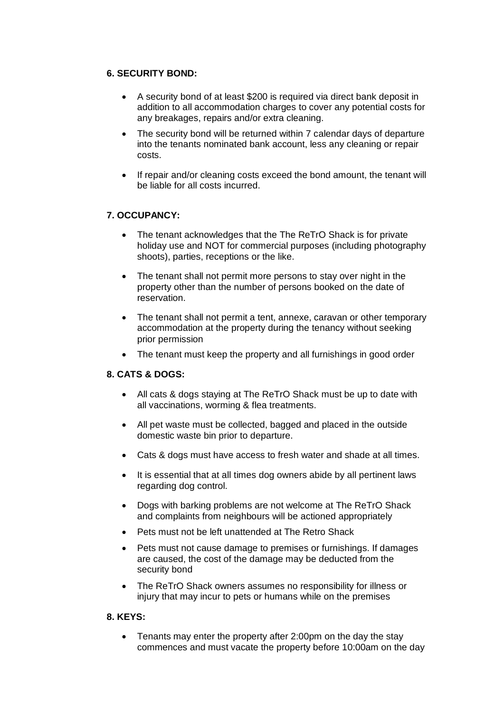## **6. SECURITY BOND:**

- A security bond of at least \$200 is required via direct bank deposit in addition to all accommodation charges to cover any potential costs for any breakages, repairs and/or extra cleaning.
- The security bond will be returned within 7 calendar days of departure into the tenants nominated bank account, less any cleaning or repair costs.
- If repair and/or cleaning costs exceed the bond amount, the tenant will be liable for all costs incurred.

# **7. OCCUPANCY:**

- The tenant acknowledges that the The ReTrO Shack is for private holiday use and NOT for commercial purposes (including photography shoots), parties, receptions or the like.
- The tenant shall not permit more persons to stay over night in the property other than the number of persons booked on the date of reservation.
- The tenant shall not permit a tent, annexe, caravan or other temporary accommodation at the property during the tenancy without seeking prior permission
- The tenant must keep the property and all furnishings in good order

## **8. CATS & DOGS:**

- All cats & dogs staying at The ReTrO Shack must be up to date with all vaccinations, worming & flea treatments.
- All pet waste must be collected, bagged and placed in the outside domestic waste bin prior to departure.
- Cats & dogs must have access to fresh water and shade at all times.
- It is essential that at all times dog owners abide by all pertinent laws regarding dog control.
- Dogs with barking problems are not welcome at The ReTrO Shack and complaints from neighbours will be actioned appropriately
- Pets must not be left unattended at The Retro Shack
- Pets must not cause damage to premises or furnishings. If damages are caused, the cost of the damage may be deducted from the security bond
- The ReTrO Shack owners assumes no responsibility for illness or injury that may incur to pets or humans while on the premises

## **8. KEYS:**

• Tenants may enter the property after 2:00pm on the day the stay commences and must vacate the property before 10:00am on the day